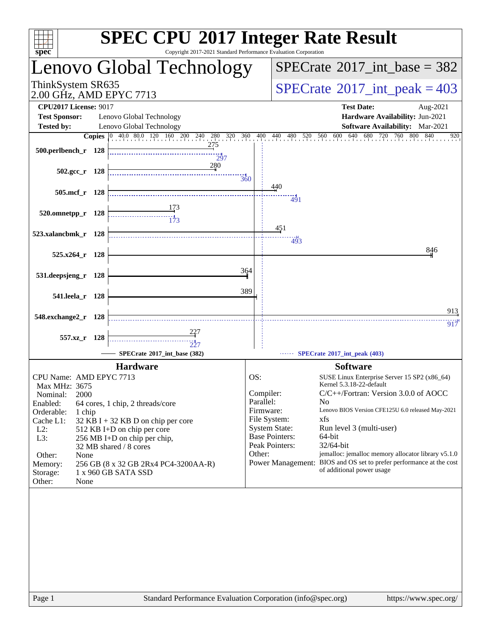| $spec^*$                                                                  |            | <b>SPEC CPU®2017 Integer Rate Result</b><br>Copyright 2017-2021 Standard Performance Evaluation Corporation |           |                                                                                                  |            |
|---------------------------------------------------------------------------|------------|-------------------------------------------------------------------------------------------------------------|-----------|--------------------------------------------------------------------------------------------------|------------|
|                                                                           |            | Lenovo Global Technology                                                                                    |           | $SPECrate^{\circledast}2017\_int\_base = 382$                                                    |            |
| ThinkSystem SR635<br>2.00 GHz, AMD EPYC 7713                              |            |                                                                                                             |           | $SPECrate^{\circ}2017\_int\_peak = 403$                                                          |            |
| <b>CPU2017 License: 9017</b><br><b>Test Sponsor:</b><br><b>Tested by:</b> |            | Lenovo Global Technology<br>Lenovo Global Technology                                                        |           | <b>Test Date:</b><br>Hardware Availability: Jun-2021<br>Software Availability: Mar-2021          | Aug-2021   |
|                                                                           |            | <b>Copies</b> 0 40.0 80.0 120 160 200 240 280 320 360                                                       |           | 480 520 560 600 640 68<br>680 720 760 800<br>360 400 440                                         | 840<br>920 |
| 500.perlbench_r 128                                                       |            | 275<br>297                                                                                                  |           |                                                                                                  |            |
| $502.\text{gcc r}$ 128                                                    |            | 280<br>360                                                                                                  |           |                                                                                                  |            |
| $505$ .mcf_r                                                              | - 128      |                                                                                                             |           | 440<br>491                                                                                       |            |
| 520.omnetpp_r 128                                                         |            |                                                                                                             |           |                                                                                                  |            |
| 523.xalancbmk_r 128                                                       |            |                                                                                                             |           | 451<br>493                                                                                       |            |
| 525.x264 r 128                                                            |            |                                                                                                             |           |                                                                                                  | 846        |
| 531.deepsjeng_r                                                           | <b>128</b> | 364                                                                                                         |           |                                                                                                  |            |
| 541.leela_r 128                                                           |            | 389                                                                                                         |           |                                                                                                  |            |
| 548.exchange2_r 128                                                       |            |                                                                                                             |           |                                                                                                  | 913<br>917 |
| 557.xz_r 128                                                              |            |                                                                                                             |           |                                                                                                  |            |
|                                                                           |            | SPECrate®2017_int_base (382)                                                                                |           | SPECrate*2017_int_peak (403)                                                                     |            |
|                                                                           |            | <b>Hardware</b>                                                                                             |           | <b>Software</b>                                                                                  |            |
| CPU Name: AMD EPYC 7713                                                   |            |                                                                                                             | OS:       | SUSE Linux Enterprise Server 15 SP2 (x86_64)<br>Kernel 5.3.18-22-default                         |            |
| Max MHz: 3675<br>2000<br>Nominal:                                         |            |                                                                                                             |           | C/C++/Fortran: Version 3.0.0 of AOCC<br>Compiler:                                                |            |
| Enabled:                                                                  |            | 64 cores, 1 chip, 2 threads/core                                                                            | Parallel: | N <sub>0</sub><br>Lenovo BIOS Version CFE125U 6.0 released May-2021<br>Firmware:                 |            |
| Orderable:<br>1 chip<br>Cache L1:                                         |            | 32 KB I + 32 KB D on chip per core                                                                          |           | File System:<br>xfs                                                                              |            |
| $L2$ :                                                                    |            | 512 KB I+D on chip per core                                                                                 |           | <b>System State:</b><br>Run level 3 (multi-user)                                                 |            |
| L3:                                                                       |            | 256 MB I+D on chip per chip,<br>32 MB shared / 8 cores                                                      |           | <b>Base Pointers:</b><br>64-bit<br>Peak Pointers:<br>32/64-bit                                   |            |
| Other:<br>None                                                            |            |                                                                                                             | Other:    | jemalloc: jemalloc memory allocator library v5.1.0                                               |            |
| Memory:<br>Storage:                                                       |            | 256 GB (8 x 32 GB 2Rx4 PC4-3200AA-R)<br>1 x 960 GB SATA SSD                                                 |           | Power Management: BIOS and OS set to prefer performance at the cost<br>of additional power usage |            |
| Other:<br>None                                                            |            |                                                                                                             |           |                                                                                                  |            |
|                                                                           |            |                                                                                                             |           |                                                                                                  |            |
|                                                                           |            |                                                                                                             |           |                                                                                                  |            |
|                                                                           |            |                                                                                                             |           |                                                                                                  |            |
|                                                                           |            |                                                                                                             |           |                                                                                                  |            |
|                                                                           |            |                                                                                                             |           |                                                                                                  |            |
|                                                                           |            |                                                                                                             |           |                                                                                                  |            |
|                                                                           |            |                                                                                                             |           |                                                                                                  |            |
|                                                                           |            |                                                                                                             |           |                                                                                                  |            |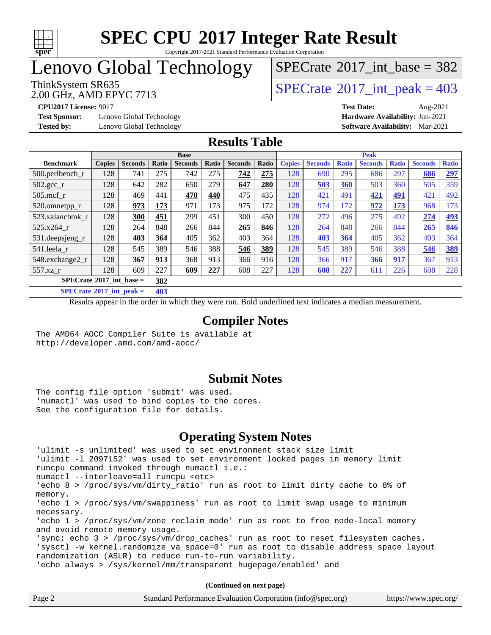

Copyright 2017-2021 Standard Performance Evaluation Corporation

# Lenovo Global Technology

 $SPECTate$ <sup>®</sup>[2017\\_int\\_base =](http://www.spec.org/auto/cpu2017/Docs/result-fields.html#SPECrate2017intbase) 382

2.00 GHz, AMD EPYC 7713

ThinkSystem SR635<br>2.00 GHz, AMD EPYC 7713

**[Test Sponsor:](http://www.spec.org/auto/cpu2017/Docs/result-fields.html#TestSponsor)** Lenovo Global Technology **[Hardware Availability:](http://www.spec.org/auto/cpu2017/Docs/result-fields.html#HardwareAvailability)** Jun-2021 **[Tested by:](http://www.spec.org/auto/cpu2017/Docs/result-fields.html#Testedby)** Lenovo Global Technology **[Software Availability:](http://www.spec.org/auto/cpu2017/Docs/result-fields.html#SoftwareAvailability)** Mar-2021

**[CPU2017 License:](http://www.spec.org/auto/cpu2017/Docs/result-fields.html#CPU2017License)** 9017 **[Test Date:](http://www.spec.org/auto/cpu2017/Docs/result-fields.html#TestDate)** Aug-2021

#### **[Results Table](http://www.spec.org/auto/cpu2017/Docs/result-fields.html#ResultsTable)**

|                                   | <b>Base</b>   |                |       |                |       | <b>Peak</b>    |       |               |                |              |                |              |                |              |
|-----------------------------------|---------------|----------------|-------|----------------|-------|----------------|-------|---------------|----------------|--------------|----------------|--------------|----------------|--------------|
| <b>Benchmark</b>                  | <b>Copies</b> | <b>Seconds</b> | Ratio | <b>Seconds</b> | Ratio | <b>Seconds</b> | Ratio | <b>Copies</b> | <b>Seconds</b> | <b>Ratio</b> | <b>Seconds</b> | <b>Ratio</b> | <b>Seconds</b> | <b>Ratio</b> |
| 500.perlbench_r                   | 128           | 741            | 275   | 742            | 275   | 742            | 275   | 128           | 690            | 295          | 686            | 297          | 686            | <u>297</u>   |
| 502.gcc_r                         | 128           | 642            | 282   | 650            | 279   | 647            | 280   | 128           | 503            | 360          | 503            | 360          | 505            | 359          |
| $505$ .mcf r                      | 128           | 469            | 441   | 470            | 440   | 475            | 435   | 128           | 421            | 491          | 421            | <u>491</u>   | 421            | 492          |
| 520.omnetpp_r                     | 128           | 973            | 173   | 971            | 173   | 975            | 172   | 128           | 974            | 172          | 972            | 173          | 968            | 173          |
| 523.xalancbmk r                   | 128           | 300            | 451   | 299            | 451   | 300            | 450   | 128           | 272            | 496          | 275            | 492          | 274            | <u>493</u>   |
| 525.x264 r                        | 128           | 264            | 848   | 266            | 844   | 265            | 846   | 128           | 264            | 848          | 266            | 844          | 265            | 846          |
| 531.deepsjeng_r                   | 128           | 403            | 364   | 405            | 362   | 403            | 364   | 128           | 403            | 364          | 405            | 362          | 403            | 364          |
| 541.leela r                       | 128           | 545            | 389   | 546            | 388   | 546            | 389   | 128           | 545            | 389          | 546            | 388          | 546            | 389          |
| 548.exchange2_r                   | 128           | 367            | 913   | 368            | 913   | 366            | 916   | 128           | 366            | 917          | 366            | 917          | 367            | 913          |
| 557.xz r                          | 128           | 609            | 227   | 609            | 227   | 608            | 227   | 128           | 608            | 227          | 611            | 226          | 608            | 228          |
| $SPECrate^{\circ}2017$ int base = |               |                | 382   |                |       |                |       |               |                |              |                |              |                |              |
| _____                             |               |                |       |                |       |                |       |               |                |              |                |              |                |              |

**[SPECrate](http://www.spec.org/auto/cpu2017/Docs/result-fields.html#SPECrate2017intpeak)[2017\\_int\\_peak =](http://www.spec.org/auto/cpu2017/Docs/result-fields.html#SPECrate2017intpeak) 403**

Results appear in the [order in which they were run](http://www.spec.org/auto/cpu2017/Docs/result-fields.html#RunOrder). Bold underlined text [indicates a median measurement](http://www.spec.org/auto/cpu2017/Docs/result-fields.html#Median).

#### **[Compiler Notes](http://www.spec.org/auto/cpu2017/Docs/result-fields.html#CompilerNotes)**

The AMD64 AOCC Compiler Suite is available at <http://developer.amd.com/amd-aocc/>

#### **[Submit Notes](http://www.spec.org/auto/cpu2017/Docs/result-fields.html#SubmitNotes)**

The config file option 'submit' was used. 'numactl' was used to bind copies to the cores. See the configuration file for details.

#### **[Operating System Notes](http://www.spec.org/auto/cpu2017/Docs/result-fields.html#OperatingSystemNotes)**

Page 2 Standard Performance Evaluation Corporation [\(info@spec.org\)](mailto:info@spec.org) <https://www.spec.org/> 'ulimit -s unlimited' was used to set environment stack size limit 'ulimit -l 2097152' was used to set environment locked pages in memory limit runcpu command invoked through numactl i.e.: numactl --interleave=all runcpu <etc> 'echo 8 > /proc/sys/vm/dirty\_ratio' run as root to limit dirty cache to 8% of memory. 'echo 1 > /proc/sys/vm/swappiness' run as root to limit swap usage to minimum necessary. 'echo 1 > /proc/sys/vm/zone\_reclaim\_mode' run as root to free node-local memory and avoid remote memory usage. 'sync; echo 3 > /proc/sys/vm/drop\_caches' run as root to reset filesystem caches. 'sysctl -w kernel.randomize\_va\_space=0' run as root to disable address space layout randomization (ASLR) to reduce run-to-run variability. 'echo always > /sys/kernel/mm/transparent\_hugepage/enabled' and **(Continued on next page)**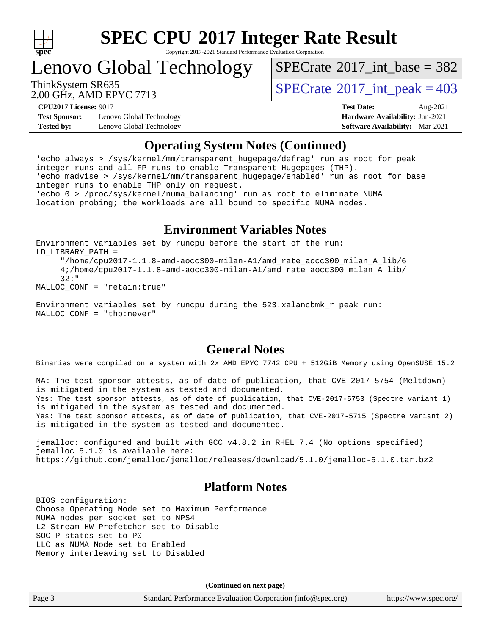

Copyright 2017-2021 Standard Performance Evaluation Corporation

Lenovo Global Technology

 $SPECTate@2017_int\_base = 382$ 

2.00 GHz, AMD EPYC 7713

ThinkSystem SR635<br>2.00 GHz, AMD EPVC 7713

**[Test Sponsor:](http://www.spec.org/auto/cpu2017/Docs/result-fields.html#TestSponsor)** Lenovo Global Technology **[Hardware Availability:](http://www.spec.org/auto/cpu2017/Docs/result-fields.html#HardwareAvailability)** Jun-2021 **[Tested by:](http://www.spec.org/auto/cpu2017/Docs/result-fields.html#Testedby)** Lenovo Global Technology **[Software Availability:](http://www.spec.org/auto/cpu2017/Docs/result-fields.html#SoftwareAvailability)** Mar-2021

**[CPU2017 License:](http://www.spec.org/auto/cpu2017/Docs/result-fields.html#CPU2017License)** 9017 **[Test Date:](http://www.spec.org/auto/cpu2017/Docs/result-fields.html#TestDate)** Aug-2021

#### **[Operating System Notes \(Continued\)](http://www.spec.org/auto/cpu2017/Docs/result-fields.html#OperatingSystemNotes)**

'echo always > /sys/kernel/mm/transparent\_hugepage/defrag' run as root for peak integer runs and all FP runs to enable Transparent Hugepages (THP). 'echo madvise > /sys/kernel/mm/transparent\_hugepage/enabled' run as root for base integer runs to enable THP only on request. 'echo 0 > /proc/sys/kernel/numa\_balancing' run as root to eliminate NUMA location probing; the workloads are all bound to specific NUMA nodes.

#### **[Environment Variables Notes](http://www.spec.org/auto/cpu2017/Docs/result-fields.html#EnvironmentVariablesNotes)**

Environment variables set by runcpu before the start of the run: LD\_LIBRARY\_PATH = "/home/cpu2017-1.1.8-amd-aocc300-milan-A1/amd\_rate\_aocc300\_milan\_A\_lib/6

 4;/home/cpu2017-1.1.8-amd-aocc300-milan-A1/amd\_rate\_aocc300\_milan\_A\_lib/ 32:"

MALLOC\_CONF = "retain:true"

Environment variables set by runcpu during the 523.xalancbmk\_r peak run: MALLOC\_CONF = "thp:never"

#### **[General Notes](http://www.spec.org/auto/cpu2017/Docs/result-fields.html#GeneralNotes)**

Binaries were compiled on a system with 2x AMD EPYC 7742 CPU + 512GiB Memory using OpenSUSE 15.2

NA: The test sponsor attests, as of date of publication, that CVE-2017-5754 (Meltdown) is mitigated in the system as tested and documented. Yes: The test sponsor attests, as of date of publication, that CVE-2017-5753 (Spectre variant 1) is mitigated in the system as tested and documented. Yes: The test sponsor attests, as of date of publication, that CVE-2017-5715 (Spectre variant 2) is mitigated in the system as tested and documented.

jemalloc: configured and built with GCC v4.8.2 in RHEL 7.4 (No options specified) jemalloc 5.1.0 is available here: <https://github.com/jemalloc/jemalloc/releases/download/5.1.0/jemalloc-5.1.0.tar.bz2>

#### **[Platform Notes](http://www.spec.org/auto/cpu2017/Docs/result-fields.html#PlatformNotes)**

BIOS configuration: Choose Operating Mode set to Maximum Performance NUMA nodes per socket set to NPS4 L2 Stream HW Prefetcher set to Disable SOC P-states set to P0 LLC as NUMA Node set to Enabled Memory interleaving set to Disabled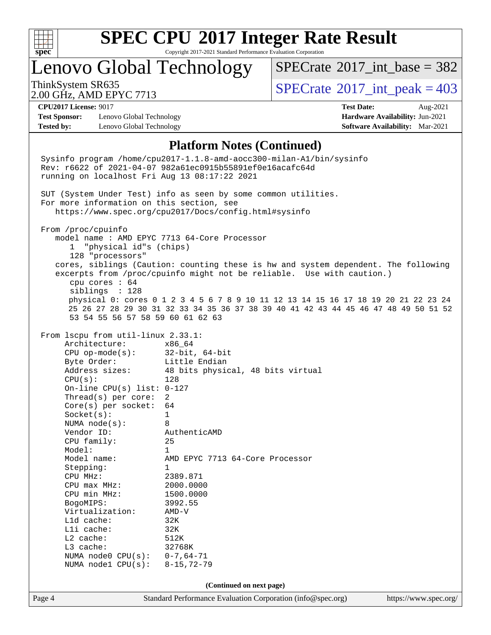

Copyright 2017-2021 Standard Performance Evaluation Corporation

## Lenovo Global Technology

 $SPECTate$ <sup>®</sup>[2017\\_int\\_base =](http://www.spec.org/auto/cpu2017/Docs/result-fields.html#SPECrate2017intbase) 382

2.00 GHz, AMD EPYC 7713

ThinkSystem SR635<br>2.00 GHz, AMD EPYC 7713

**[Test Sponsor:](http://www.spec.org/auto/cpu2017/Docs/result-fields.html#TestSponsor)** Lenovo Global Technology **[Hardware Availability:](http://www.spec.org/auto/cpu2017/Docs/result-fields.html#HardwareAvailability)** Jun-2021 **[Tested by:](http://www.spec.org/auto/cpu2017/Docs/result-fields.html#Testedby)** Lenovo Global Technology **[Software Availability:](http://www.spec.org/auto/cpu2017/Docs/result-fields.html#SoftwareAvailability)** Mar-2021

**[CPU2017 License:](http://www.spec.org/auto/cpu2017/Docs/result-fields.html#CPU2017License)** 9017 **[Test Date:](http://www.spec.org/auto/cpu2017/Docs/result-fields.html#TestDate)** Aug-2021

#### **[Platform Notes \(Continued\)](http://www.spec.org/auto/cpu2017/Docs/result-fields.html#PlatformNotes)**

Page 4 Standard Performance Evaluation Corporation [\(info@spec.org\)](mailto:info@spec.org) <https://www.spec.org/> Sysinfo program /home/cpu2017-1.1.8-amd-aocc300-milan-A1/bin/sysinfo Rev: r6622 of 2021-04-07 982a61ec0915b55891ef0e16acafc64d running on localhost Fri Aug 13 08:17:22 2021 SUT (System Under Test) info as seen by some common utilities. For more information on this section, see <https://www.spec.org/cpu2017/Docs/config.html#sysinfo> From /proc/cpuinfo model name : AMD EPYC 7713 64-Core Processor 1 "physical id"s (chips) 128 "processors" cores, siblings (Caution: counting these is hw and system dependent. The following excerpts from /proc/cpuinfo might not be reliable. Use with caution.) cpu cores : 64 siblings : 128 physical 0: cores 0 1 2 3 4 5 6 7 8 9 10 11 12 13 14 15 16 17 18 19 20 21 22 23 24 25 26 27 28 29 30 31 32 33 34 35 36 37 38 39 40 41 42 43 44 45 46 47 48 49 50 51 52 53 54 55 56 57 58 59 60 61 62 63 From lscpu from util-linux 2.33.1: Architecture: x86\_64 CPU op-mode(s): 32-bit, 64-bit Byte Order: Little Endian Address sizes: 48 bits physical, 48 bits virtual CPU(s): 128 On-line CPU(s) list: 0-127 Thread(s) per core: 2 Core(s) per socket: 64 Socket(s): 1 NUMA node(s): 8 Vendor ID: AuthenticAMD CPU family: 25 Model: 1 Model name: AMD EPYC 7713 64-Core Processor Stepping: 1 CPU MHz: 2389.871<br>
CPU max MHz: 2000.0000 CPU max MHz: 2000.0000<br>CPU min MHz: 1500.0000 CPU min MHz: 1500.0000 BogoMIPS: 3992.55<br>Virtualization: AMD-V Virtualization: L1d cache: 32K<br>L1i cache: 32K  $L1i$  cache: L2 cache: 512K L3 cache: 32768K NUMA node0 CPU(s): 0-7,64-71 NUMA node1 CPU(s): 8-15,72-79 **(Continued on next page)**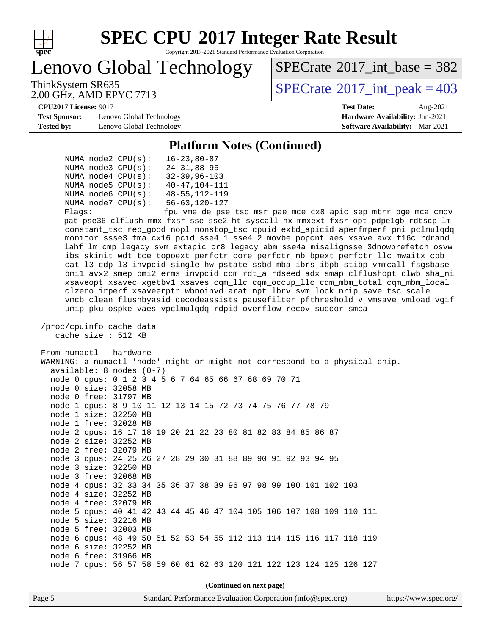

Copyright 2017-2021 Standard Performance Evaluation Corporation

Lenovo Global Technology

 $SPECTate$ <sup>®</sup>[2017\\_int\\_base =](http://www.spec.org/auto/cpu2017/Docs/result-fields.html#SPECrate2017intbase) 382

2.00 GHz, AMD EPYC 7713

ThinkSystem SR635<br>2.00 GHz, AMD EPVC 7713

**[Test Sponsor:](http://www.spec.org/auto/cpu2017/Docs/result-fields.html#TestSponsor)** Lenovo Global Technology **[Hardware Availability:](http://www.spec.org/auto/cpu2017/Docs/result-fields.html#HardwareAvailability)** Jun-2021 **[Tested by:](http://www.spec.org/auto/cpu2017/Docs/result-fields.html#Testedby)** Lenovo Global Technology **[Software Availability:](http://www.spec.org/auto/cpu2017/Docs/result-fields.html#SoftwareAvailability)** Mar-2021

**[CPU2017 License:](http://www.spec.org/auto/cpu2017/Docs/result-fields.html#CPU2017License)** 9017 **[Test Date:](http://www.spec.org/auto/cpu2017/Docs/result-fields.html#TestDate)** Aug-2021

#### **[Platform Notes \(Continued\)](http://www.spec.org/auto/cpu2017/Docs/result-fields.html#PlatformNotes)**

|  | NUMA $node2$ $CPU(s)$ :  | $16 - 23, 80 - 87$      |
|--|--------------------------|-------------------------|
|  | NUMA $node3$ CPU $(s)$ : | $24 - 31,88 - 95$       |
|  | NUMA $node4$ $CPU(s)$ :  | $32 - 39.96 - 103$      |
|  | NUMA $node5$ $CPU(s)$ :  | $40 - 47, 104 - 111$    |
|  | NUMA $node6$ $CPU(s):$   | $48 - 55$ , 112-119     |
|  | NUMA $node7$ CPU $(s)$ : | $56 - 63$ , $120 - 127$ |
|  |                          |                         |

Flags: fpu vme de pse tsc msr pae mce cx8 apic sep mtrr pge mca cmov pat pse36 clflush mmx fxsr sse sse2 ht syscall nx mmxext fxsr\_opt pdpe1gb rdtscp lm constant\_tsc rep\_good nopl nonstop\_tsc cpuid extd\_apicid aperfmperf pni pclmulqdq monitor ssse3 fma cx16 pcid sse4\_1 sse4\_2 movbe popcnt aes xsave avx f16c rdrand lahf\_lm cmp\_legacy svm extapic cr8\_legacy abm sse4a misalignsse 3dnowprefetch osvw ibs skinit wdt tce topoext perfctr\_core perfctr\_nb bpext perfctr\_llc mwaitx cpb cat\_l3 cdp\_l3 invpcid\_single hw\_pstate ssbd mba ibrs ibpb stibp vmmcall fsgsbase bmi1 avx2 smep bmi2 erms invpcid cqm rdt\_a rdseed adx smap clflushopt clwb sha\_ni xsaveopt xsavec xgetbv1 xsaves cqm\_llc cqm\_occup\_llc cqm\_mbm\_total cqm\_mbm\_local clzero irperf xsaveerptr wbnoinvd arat npt lbrv svm\_lock nrip\_save tsc\_scale vmcb\_clean flushbyasid decodeassists pausefilter pfthreshold v\_vmsave\_vmload vgif umip pku ospke vaes vpclmulqdq rdpid overflow\_recov succor smca

 /proc/cpuinfo cache data cache size : 512 KB

 From numactl --hardware WARNING: a numactl 'node' might or might not correspond to a physical chip. available: 8 nodes (0-7) node 0 cpus: 0 1 2 3 4 5 6 7 64 65 66 67 68 69 70 71 node 0 size: 32058 MB node 0 free: 31797 MB node 1 cpus: 8 9 10 11 12 13 14 15 72 73 74 75 76 77 78 79 node 1 size: 32250 MB node 1 free: 32028 MB node 2 cpus: 16 17 18 19 20 21 22 23 80 81 82 83 84 85 86 87 node 2 size: 32252 MB node 2 free: 32079 MB node 3 cpus: 24 25 26 27 28 29 30 31 88 89 90 91 92 93 94 95 node 3 size: 32250 MB node 3 free: 32068 MB node 4 cpus: 32 33 34 35 36 37 38 39 96 97 98 99 100 101 102 103 node 4 size: 32252 MB node 4 free: 32079 MB node 5 cpus: 40 41 42 43 44 45 46 47 104 105 106 107 108 109 110 111 node 5 size: 32216 MB node 5 free: 32003 MB node 6 cpus: 48 49 50 51 52 53 54 55 112 113 114 115 116 117 118 119 node 6 size: 32252 MB node 6 free: 31966 MB node 7 cpus: 56 57 58 59 60 61 62 63 120 121 122 123 124 125 126 127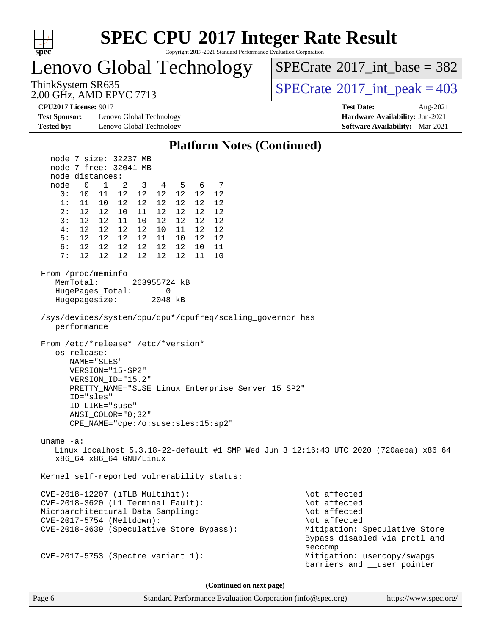

Copyright 2017-2021 Standard Performance Evaluation Corporation

Lenovo Global Technology

 $SPECrate$ <sup>®</sup>[2017\\_int\\_base =](http://www.spec.org/auto/cpu2017/Docs/result-fields.html#SPECrate2017intbase) 382

2.00 GHz, AMD EPYC 7713

ThinkSystem SR635<br>
2.00 GHz AMD EPYC 7713

**[Test Sponsor:](http://www.spec.org/auto/cpu2017/Docs/result-fields.html#TestSponsor)** Lenovo Global Technology **[Hardware Availability:](http://www.spec.org/auto/cpu2017/Docs/result-fields.html#HardwareAvailability)** Jun-2021 **[Tested by:](http://www.spec.org/auto/cpu2017/Docs/result-fields.html#Testedby)** Lenovo Global Technology **[Software Availability:](http://www.spec.org/auto/cpu2017/Docs/result-fields.html#SoftwareAvailability)** Mar-2021

**[CPU2017 License:](http://www.spec.org/auto/cpu2017/Docs/result-fields.html#CPU2017License)** 9017 **[Test Date:](http://www.spec.org/auto/cpu2017/Docs/result-fields.html#TestDate)** Aug-2021

| <b>Platform Notes (Continued)</b>                                                                                                                                                                                                                        |                                                                                                                                           |  |  |  |  |  |  |
|----------------------------------------------------------------------------------------------------------------------------------------------------------------------------------------------------------------------------------------------------------|-------------------------------------------------------------------------------------------------------------------------------------------|--|--|--|--|--|--|
| node 7 size: 32237 MB                                                                                                                                                                                                                                    |                                                                                                                                           |  |  |  |  |  |  |
| node 7 free: 32041 MB                                                                                                                                                                                                                                    |                                                                                                                                           |  |  |  |  |  |  |
| node distances:                                                                                                                                                                                                                                          |                                                                                                                                           |  |  |  |  |  |  |
| node<br>$\overline{0}$<br>$\overline{1}$<br>3<br>4 5<br>6 7<br>$\overline{2}$                                                                                                                                                                            |                                                                                                                                           |  |  |  |  |  |  |
| 12 12<br>0:<br>10<br>11 12<br>12 12<br>12                                                                                                                                                                                                                |                                                                                                                                           |  |  |  |  |  |  |
| 12 12<br>12<br>12 12<br>1:<br>11<br>10<br>12<br>12 <sup>12</sup><br>12<br>12 12<br>2:<br>12 10<br>11<br>12                                                                                                                                               |                                                                                                                                           |  |  |  |  |  |  |
| 3:<br>12<br>12<br>12 11<br>10 12<br>12 12                                                                                                                                                                                                                |                                                                                                                                           |  |  |  |  |  |  |
| 12  12  12<br>4 :<br>12 10<br>11<br>12 12                                                                                                                                                                                                                |                                                                                                                                           |  |  |  |  |  |  |
| 12 12<br>12 11 10<br>12 12<br>5:<br>12                                                                                                                                                                                                                   |                                                                                                                                           |  |  |  |  |  |  |
| 12 12<br>12<br>12 12 12<br>10 11<br>6:                                                                                                                                                                                                                   |                                                                                                                                           |  |  |  |  |  |  |
| 12 <sup>°</sup><br>12<br>12 12<br>7:<br>12<br>12<br>11 10                                                                                                                                                                                                |                                                                                                                                           |  |  |  |  |  |  |
| From /proc/meminfo<br>MemTotal:<br>263955724 kB<br>HugePages_Total:<br>0<br>Hugepagesize:<br>2048 kB                                                                                                                                                     |                                                                                                                                           |  |  |  |  |  |  |
| /sys/devices/system/cpu/cpu*/cpufreq/scaling_governor has<br>performance                                                                                                                                                                                 |                                                                                                                                           |  |  |  |  |  |  |
| From /etc/*release* /etc/*version*<br>os-release:<br>NAME="SLES"<br>VERSION="15-SP2"<br>VERSION ID="15.2"<br>PRETTY_NAME="SUSE Linux Enterprise Server 15 SP2"<br>ID="sles"<br>ID LIKE="suse"<br>ANSI COLOR="0;32"<br>CPE_NAME="cpe:/o:suse:sles:15:sp2" |                                                                                                                                           |  |  |  |  |  |  |
| uname $-a$ :<br>Linux localhost 5.3.18-22-default #1 SMP Wed Jun 3 12:16:43 UTC 2020 (720aeba) x86_64<br>x86_64 x86_64 GNU/Linux                                                                                                                         |                                                                                                                                           |  |  |  |  |  |  |
| Kernel self-reported vulnerability status:                                                                                                                                                                                                               |                                                                                                                                           |  |  |  |  |  |  |
| $CVE-2018-12207$ (iTLB Multihit):<br>CVE-2018-3620 (L1 Terminal Fault):<br>Microarchitectural Data Sampling:<br>CVE-2017-5754 (Meltdown):<br>CVE-2018-3639 (Speculative Store Bypass):                                                                   | Not affected<br>Not affected<br>Not affected<br>Not affected<br>Mitigation: Speculative Store<br>Bypass disabled via prctl and<br>seccomp |  |  |  |  |  |  |
| Mitigation: usercopy/swapgs<br>CVE-2017-5753 (Spectre variant 1):<br>barriers and __user pointer                                                                                                                                                         |                                                                                                                                           |  |  |  |  |  |  |

**(Continued on next page)**

Page 6 Standard Performance Evaluation Corporation [\(info@spec.org\)](mailto:info@spec.org) <https://www.spec.org/>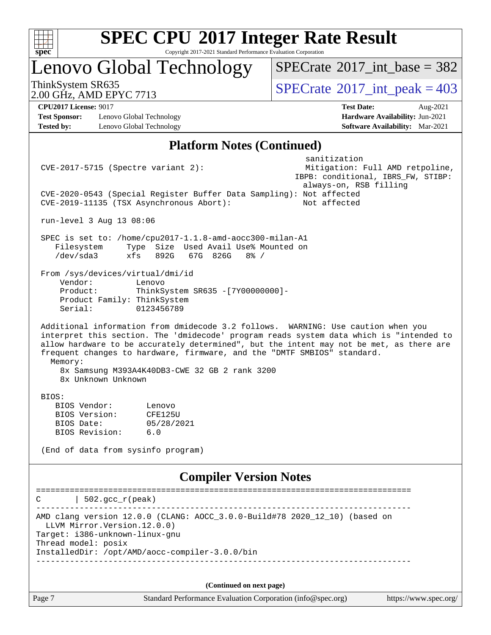

Copyright 2017-2021 Standard Performance Evaluation Corporation

# Lenovo Global Technology

 $SPECrate$ <sup>®</sup>[2017\\_int\\_base =](http://www.spec.org/auto/cpu2017/Docs/result-fields.html#SPECrate2017intbase) 382

2.00 GHz, AMD EPYC 7713

ThinkSystem SR635<br>
2.00 GHz AMD EPYC 7713

**[Test Sponsor:](http://www.spec.org/auto/cpu2017/Docs/result-fields.html#TestSponsor)** Lenovo Global Technology **[Hardware Availability:](http://www.spec.org/auto/cpu2017/Docs/result-fields.html#HardwareAvailability)** Jun-2021 **[Tested by:](http://www.spec.org/auto/cpu2017/Docs/result-fields.html#Testedby)** Lenovo Global Technology **[Software Availability:](http://www.spec.org/auto/cpu2017/Docs/result-fields.html#SoftwareAvailability)** Mar-2021

**[CPU2017 License:](http://www.spec.org/auto/cpu2017/Docs/result-fields.html#CPU2017License)** 9017 **[Test Date:](http://www.spec.org/auto/cpu2017/Docs/result-fields.html#TestDate)** Aug-2021

#### **[Platform Notes \(Continued\)](http://www.spec.org/auto/cpu2017/Docs/result-fields.html#PlatformNotes)**

| Page 7                                                                                                         | Standard Performance Evaluation Corporation (info@spec.org)                                                                                                                                                                                                                                                                                        |                                                    | https://www.spec.org/           |
|----------------------------------------------------------------------------------------------------------------|----------------------------------------------------------------------------------------------------------------------------------------------------------------------------------------------------------------------------------------------------------------------------------------------------------------------------------------------------|----------------------------------------------------|---------------------------------|
|                                                                                                                | (Continued on next page)                                                                                                                                                                                                                                                                                                                           |                                                    |                                 |
| LLVM Mirror. Version. 12.0.0)<br>Target: i386-unknown-linux-gnu<br>Thread model: posix<br>____________________ | InstalledDir: /opt/AMD/aocc-compiler-3.0.0/bin                                                                                                                                                                                                                                                                                                     | ___________________________                        |                                 |
|                                                                                                                | AMD clang version 12.0.0 (CLANG: AOCC_3.0.0-Build#78 2020_12_10) (based on                                                                                                                                                                                                                                                                         |                                                    |                                 |
| $502.$ $\text{gcc\_r}$ (peak)<br>C                                                                             |                                                                                                                                                                                                                                                                                                                                                    |                                                    |                                 |
|                                                                                                                | <b>Compiler Version Notes</b>                                                                                                                                                                                                                                                                                                                      |                                                    |                                 |
| (End of data from sysinfo program)                                                                             |                                                                                                                                                                                                                                                                                                                                                    |                                                    |                                 |
| BIOS Revision:                                                                                                 | 6.0                                                                                                                                                                                                                                                                                                                                                |                                                    |                                 |
| BIOS Date:                                                                                                     | 05/28/2021                                                                                                                                                                                                                                                                                                                                         |                                                    |                                 |
| BIOS Vendor:<br>BIOS Version:                                                                                  | Lenovo<br>CFE125U                                                                                                                                                                                                                                                                                                                                  |                                                    |                                 |
| 8x Unknown Unknown<br>BIOS:                                                                                    | 8x Samsung M393A4K40DB3-CWE 32 GB 2 rank 3200                                                                                                                                                                                                                                                                                                      |                                                    |                                 |
| Memory:                                                                                                        | Additional information from dmidecode 3.2 follows. WARNING: Use caution when you<br>interpret this section. The 'dmidecode' program reads system data which is "intended to<br>allow hardware to be accurately determined", but the intent may not be met, as there are<br>frequent changes to hardware, firmware, and the "DMTF SMBIOS" standard. |                                                    |                                 |
| From /sys/devices/virtual/dmi/id<br>Vendor:<br>Product:<br>Product Family: ThinkSystem<br>Serial:              | Lenovo<br>ThinkSystem SR635 - [7Y00000000]-<br>0123456789                                                                                                                                                                                                                                                                                          |                                                    |                                 |
| Filesystem<br>/dev/sda3                                                                                        | SPEC is set to: /home/cpu2017-1.1.8-amd-aocc300-milan-A1<br>Type Size Used Avail Use% Mounted on<br>892G<br>67G 826G 8% /<br>xfs                                                                                                                                                                                                                   |                                                    |                                 |
| run-level 3 Aug 13 08:06                                                                                       |                                                                                                                                                                                                                                                                                                                                                    |                                                    |                                 |
|                                                                                                                | CVE-2020-0543 (Special Register Buffer Data Sampling): Not affected<br>CVE-2019-11135 (TSX Asynchronous Abort):                                                                                                                                                                                                                                    | always-on, RSB filling<br>Not affected             |                                 |
| $CVE-2017-5715$ (Spectre variant 2):                                                                           |                                                                                                                                                                                                                                                                                                                                                    | sanitization<br>IBPB: conditional, IBRS_FW, STIBP: | Mitigation: Full AMD retpoline, |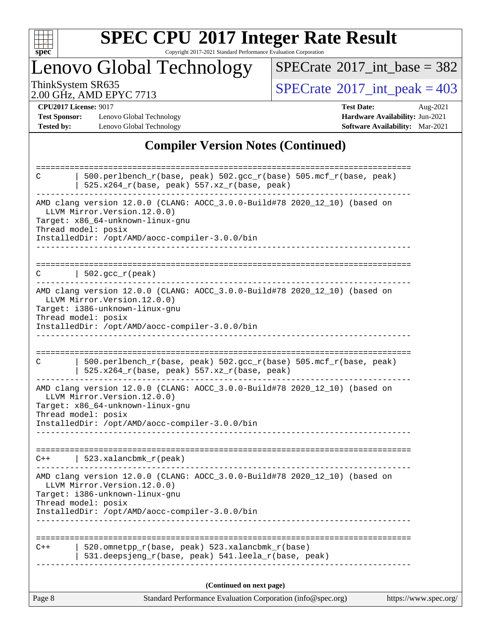

Copyright 2017-2021 Standard Performance Evaluation Corporation

Lenovo Global Technology

 $SPECrate$ <sup>®</sup>[2017\\_int\\_base =](http://www.spec.org/auto/cpu2017/Docs/result-fields.html#SPECrate2017intbase) 382

2.00 GHz, AMD EPYC 7713

ThinkSystem SR635<br>
2.00 GHz AMD EPYC 7713

**[Test Sponsor:](http://www.spec.org/auto/cpu2017/Docs/result-fields.html#TestSponsor)** Lenovo Global Technology **[Hardware Availability:](http://www.spec.org/auto/cpu2017/Docs/result-fields.html#HardwareAvailability)** Jun-2021 **[Tested by:](http://www.spec.org/auto/cpu2017/Docs/result-fields.html#Testedby)** Lenovo Global Technology **[Software Availability:](http://www.spec.org/auto/cpu2017/Docs/result-fields.html#SoftwareAvailability)** Mar-2021

**[CPU2017 License:](http://www.spec.org/auto/cpu2017/Docs/result-fields.html#CPU2017License)** 9017 **[Test Date:](http://www.spec.org/auto/cpu2017/Docs/result-fields.html#TestDate)** Aug-2021

#### **[Compiler Version Notes \(Continued\)](http://www.spec.org/auto/cpu2017/Docs/result-fields.html#CompilerVersionNotes)**

| Page 8 | Standard Performance Evaluation Corporation (info@spec.org)                                                                                                                                                              | https://www.spec.org/ |
|--------|--------------------------------------------------------------------------------------------------------------------------------------------------------------------------------------------------------------------------|-----------------------|
|        | (Continued on next page)                                                                                                                                                                                                 |                       |
| $C++$  | 520.omnetpp_r(base, peak) 523.xalancbmk_r(base)<br>531.deepsjeng_r(base, peak) 541.leela_r(base, peak)                                                                                                                   |                       |
|        |                                                                                                                                                                                                                          |                       |
|        | LLVM Mirror.Version.12.0.0)<br>Target: i386-unknown-linux-gnu<br>Thread model: posix<br>InstalledDir: /opt/AMD/aocc-compiler-3.0.0/bin                                                                                   |                       |
|        | AMD clang version 12.0.0 (CLANG: AOCC_3.0.0-Build#78 2020_12_10) (based on                                                                                                                                               |                       |
| $C++$  | 523.xalancbmk_r(peak)                                                                                                                                                                                                    |                       |
|        | AMD clang version 12.0.0 (CLANG: AOCC_3.0.0-Build#78 2020_12_10) (based on<br>LLVM Mirror. Version. 12.0.0)<br>Target: x86_64-unknown-linux-gnu<br>Thread model: posix<br>InstalledDir: /opt/AMD/aocc-compiler-3.0.0/bin |                       |
| C      | 500.perlbench_r(base, peak) 502.gcc_r(base) 505.mcf_r(base, peak)<br>$525.x264_r(base, peak) 557.xz_r(base, peak)$                                                                                                       |                       |
|        | AMD clang version 12.0.0 (CLANG: AOCC_3.0.0-Build#78 2020_12_10) (based on<br>LLVM Mirror. Version. 12.0.0)<br>Target: i386-unknown-linux-gnu<br>Thread model: posix<br>InstalledDir: /opt/AMD/aocc-compiler-3.0.0/bin   |                       |
|        | $\vert$ 502.gcc_r(peak)<br>-------------------------                                                                                                                                                                     |                       |
|        | AMD clang version 12.0.0 (CLANG: AOCC_3.0.0-Build#78 2020_12_10) (based on<br>LLVM Mirror.Version.12.0.0)<br>Target: x86_64-unknown-linux-gnu<br>Thread model: posix<br>InstalledDir: /opt/AMD/aocc-compiler-3.0.0/bin   |                       |
| С      | 500.perlbench_r(base, peak) 502.gcc_r(base) 505.mcf_r(base, peak)<br>$525.x264_r(base, peak) 557.xz_r(base, peak)$<br>----------------------------                                                                       |                       |
|        |                                                                                                                                                                                                                          |                       |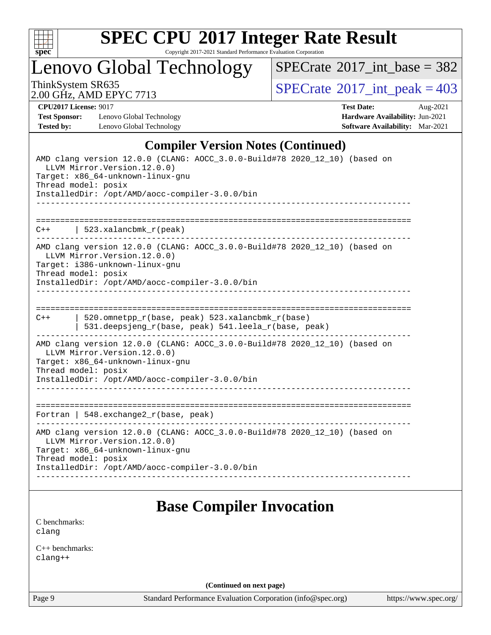

Copyright 2017-2021 Standard Performance Evaluation Corporation

Lenovo Global Technology

 $SPECrate$ <sup>®</sup>[2017\\_int\\_base =](http://www.spec.org/auto/cpu2017/Docs/result-fields.html#SPECrate2017intbase) 382

2.00 GHz, AMD EPYC 7713

ThinkSystem SR635<br>2.00 GHz AMD EPYC 7713

**[Test Sponsor:](http://www.spec.org/auto/cpu2017/Docs/result-fields.html#TestSponsor)** Lenovo Global Technology **[Hardware Availability:](http://www.spec.org/auto/cpu2017/Docs/result-fields.html#HardwareAvailability)** Jun-2021 **[Tested by:](http://www.spec.org/auto/cpu2017/Docs/result-fields.html#Testedby)** Lenovo Global Technology **[Software Availability:](http://www.spec.org/auto/cpu2017/Docs/result-fields.html#SoftwareAvailability)** Mar-2021

**[CPU2017 License:](http://www.spec.org/auto/cpu2017/Docs/result-fields.html#CPU2017License)** 9017 **[Test Date:](http://www.spec.org/auto/cpu2017/Docs/result-fields.html#TestDate)** Aug-2021

#### **[Compiler Version Notes \(Continued\)](http://www.spec.org/auto/cpu2017/Docs/result-fields.html#CompilerVersionNotes)**

| AMD clang version 12.0.0 (CLANG: AOCC_3.0.0-Build#78 2020_12_10) (based on<br>LLVM Mirror. Version. 12.0.0)<br>Target: x86_64-unknown-linux-gnu<br>Thread model: posix<br>InstalledDir: /opt/AMD/aocc-compiler-3.0.0/bin                                 |
|----------------------------------------------------------------------------------------------------------------------------------------------------------------------------------------------------------------------------------------------------------|
|                                                                                                                                                                                                                                                          |
| $C++$   523.xalancbmk $r(\text{peak})$                                                                                                                                                                                                                   |
| AMD clang version 12.0.0 (CLANG: AOCC_3.0.0-Build#78 2020_12_10) (based on<br>LLVM Mirror. Version. 12.0.0)<br>Target: i386-unknown-linux-gnu<br>Thread model: posix<br>InstalledDir: /opt/AMD/aocc-compiler-3.0.0/bin                                   |
|                                                                                                                                                                                                                                                          |
|                                                                                                                                                                                                                                                          |
| 520.omnetpp_r(base, peak) 523.xalancbmk_r(base)<br>$C++$<br>531.deepsjeng_r(base, peak) 541.leela_r(base, peak)<br>_____________________________________                                                                                                 |
| AMD clang version 12.0.0 (CLANG: AOCC_3.0.0-Build#78 2020_12_10) (based on<br>LLVM Mirror. Version. 12.0.0)<br>Target: x86_64-unknown-linux-gnu<br>Thread model: posix<br>InstalledDir: /opt/AMD/aocc-compiler-3.0.0/bin<br>____________________________ |
|                                                                                                                                                                                                                                                          |
| Fortran   548. exchange $2\lfloor r(\text{base}, \text{peak}) \rfloor$                                                                                                                                                                                   |
| AMD clang version 12.0.0 (CLANG: AOCC_3.0.0-Build#78 2020_12_10) (based on<br>LLVM Mirror. Version. 12.0.0)<br>Target: x86_64-unknown-linux-gnu<br>Thread model: posix                                                                                   |
| InstalledDir: /opt/AMD/aocc-compiler-3.0.0/bin                                                                                                                                                                                                           |
|                                                                                                                                                                                                                                                          |

## **[Base Compiler Invocation](http://www.spec.org/auto/cpu2017/Docs/result-fields.html#BaseCompilerInvocation)**

[C benchmarks](http://www.spec.org/auto/cpu2017/Docs/result-fields.html#Cbenchmarks): [clang](http://www.spec.org/cpu2017/results/res2021q3/cpu2017-20210816-28805.flags.html#user_CCbase_clang-c)

[C++ benchmarks:](http://www.spec.org/auto/cpu2017/Docs/result-fields.html#CXXbenchmarks) [clang++](http://www.spec.org/cpu2017/results/res2021q3/cpu2017-20210816-28805.flags.html#user_CXXbase_clang-cpp)

**(Continued on next page)**

Page 9 Standard Performance Evaluation Corporation [\(info@spec.org\)](mailto:info@spec.org) <https://www.spec.org/>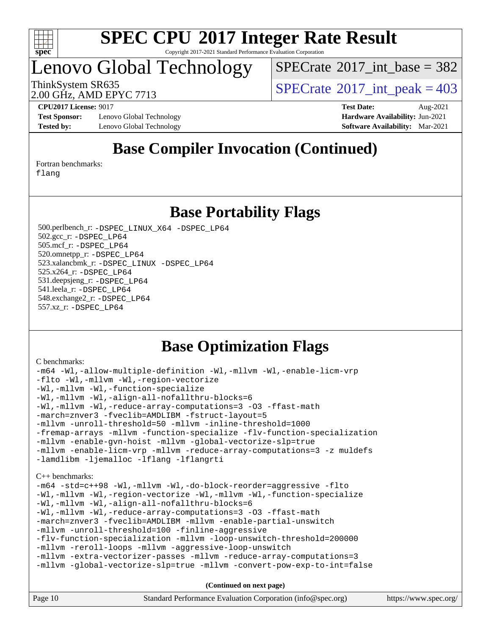

Copyright 2017-2021 Standard Performance Evaluation Corporation

## Lenovo Global Technology

 $SPECTate$ <sup>®</sup>[2017\\_int\\_base =](http://www.spec.org/auto/cpu2017/Docs/result-fields.html#SPECrate2017intbase) 382

ThinkSystem SR635<br>2.00 GHz, AMD EPVC 7713

2.00 GHz, AMD EPYC 7713

**[Test Sponsor:](http://www.spec.org/auto/cpu2017/Docs/result-fields.html#TestSponsor)** Lenovo Global Technology **[Hardware Availability:](http://www.spec.org/auto/cpu2017/Docs/result-fields.html#HardwareAvailability)** Jun-2021 **[Tested by:](http://www.spec.org/auto/cpu2017/Docs/result-fields.html#Testedby)** Lenovo Global Technology **[Software Availability:](http://www.spec.org/auto/cpu2017/Docs/result-fields.html#SoftwareAvailability)** Mar-2021

**[CPU2017 License:](http://www.spec.org/auto/cpu2017/Docs/result-fields.html#CPU2017License)** 9017 **[Test Date:](http://www.spec.org/auto/cpu2017/Docs/result-fields.html#TestDate)** Aug-2021

## **[Base Compiler Invocation \(Continued\)](http://www.spec.org/auto/cpu2017/Docs/result-fields.html#BaseCompilerInvocation)**

[Fortran benchmarks](http://www.spec.org/auto/cpu2017/Docs/result-fields.html#Fortranbenchmarks):

[flang](http://www.spec.org/cpu2017/results/res2021q3/cpu2017-20210816-28805.flags.html#user_FCbase_flang)

#### **[Base Portability Flags](http://www.spec.org/auto/cpu2017/Docs/result-fields.html#BasePortabilityFlags)**

 500.perlbench\_r: [-DSPEC\\_LINUX\\_X64](http://www.spec.org/cpu2017/results/res2021q3/cpu2017-20210816-28805.flags.html#b500.perlbench_r_basePORTABILITY_DSPEC_LINUX_X64) [-DSPEC\\_LP64](http://www.spec.org/cpu2017/results/res2021q3/cpu2017-20210816-28805.flags.html#b500.perlbench_r_baseEXTRA_PORTABILITY_DSPEC_LP64) 502.gcc\_r: [-DSPEC\\_LP64](http://www.spec.org/cpu2017/results/res2021q3/cpu2017-20210816-28805.flags.html#suite_baseEXTRA_PORTABILITY502_gcc_r_DSPEC_LP64) 505.mcf\_r: [-DSPEC\\_LP64](http://www.spec.org/cpu2017/results/res2021q3/cpu2017-20210816-28805.flags.html#suite_baseEXTRA_PORTABILITY505_mcf_r_DSPEC_LP64) 520.omnetpp\_r: [-DSPEC\\_LP64](http://www.spec.org/cpu2017/results/res2021q3/cpu2017-20210816-28805.flags.html#suite_baseEXTRA_PORTABILITY520_omnetpp_r_DSPEC_LP64) 523.xalancbmk\_r: [-DSPEC\\_LINUX](http://www.spec.org/cpu2017/results/res2021q3/cpu2017-20210816-28805.flags.html#b523.xalancbmk_r_basePORTABILITY_DSPEC_LINUX) [-DSPEC\\_LP64](http://www.spec.org/cpu2017/results/res2021q3/cpu2017-20210816-28805.flags.html#suite_baseEXTRA_PORTABILITY523_xalancbmk_r_DSPEC_LP64) 525.x264\_r: [-DSPEC\\_LP64](http://www.spec.org/cpu2017/results/res2021q3/cpu2017-20210816-28805.flags.html#suite_baseEXTRA_PORTABILITY525_x264_r_DSPEC_LP64) 531.deepsjeng\_r: [-DSPEC\\_LP64](http://www.spec.org/cpu2017/results/res2021q3/cpu2017-20210816-28805.flags.html#suite_baseEXTRA_PORTABILITY531_deepsjeng_r_DSPEC_LP64) 541.leela\_r: [-DSPEC\\_LP64](http://www.spec.org/cpu2017/results/res2021q3/cpu2017-20210816-28805.flags.html#suite_baseEXTRA_PORTABILITY541_leela_r_DSPEC_LP64) 548.exchange2\_r: [-DSPEC\\_LP64](http://www.spec.org/cpu2017/results/res2021q3/cpu2017-20210816-28805.flags.html#suite_baseEXTRA_PORTABILITY548_exchange2_r_DSPEC_LP64) 557.xz\_r: [-DSPEC\\_LP64](http://www.spec.org/cpu2017/results/res2021q3/cpu2017-20210816-28805.flags.html#suite_baseEXTRA_PORTABILITY557_xz_r_DSPEC_LP64)

## **[Base Optimization Flags](http://www.spec.org/auto/cpu2017/Docs/result-fields.html#BaseOptimizationFlags)**

[C benchmarks](http://www.spec.org/auto/cpu2017/Docs/result-fields.html#Cbenchmarks):

```
-m64 -Wl,-allow-multiple-definition -Wl,-mllvm -Wl,-enable-licm-vrp
-flto -Wl,-mllvm -Wl,-region-vectorize
-Wl,-mllvm -Wl,-function-specialize
-Wl,-mllvm -Wl,-align-all-nofallthru-blocks=6
-Wl,-mllvm -Wl,-reduce-array-computations=3 -O3 -ffast-math
-march=znver3 -fveclib=AMDLIBM -fstruct-layout=5
-mllvm -unroll-threshold=50 -mllvm -inline-threshold=1000
-fremap-arrays -mllvm -function-specialize -flv-function-specialization
-mllvm -enable-gvn-hoist -mllvm -global-vectorize-slp=true
-mllvm -enable-licm-vrp -mllvm -reduce-array-computations=3 -z muldefs
-lamdlibm -ljemalloc -lflang -lflangrti
C++ benchmarks: 
-m64 -std=c++98 -Wl,-mllvm -Wl,-do-block-reorder=aggressive -flto
-Wl,-mllvm -Wl,-region-vectorize -Wl,-mllvm -Wl,-function-specialize
-Wl,-mllvm -Wl,-align-all-nofallthru-blocks=6
-Wl,-mllvm -Wl,-reduce-array-computations=3 -O3 -ffast-math
-march=znver3 -fveclib=AMDLIBM -mllvm -enable-partial-unswitch
-mllvm -unroll-threshold=100 -finline-aggressive
-flv-function-specialization -mllvm -loop-unswitch-threshold=200000
-mllvm -reroll-loops -mllvm -aggressive-loop-unswitch
-mllvm -extra-vectorizer-passes -mllvm -reduce-array-computations=3
-mllvm -global-vectorize-slp=true -mllvm -convert-pow-exp-to-int=false
                                   (Continued on next page)
```
Page 10 Standard Performance Evaluation Corporation [\(info@spec.org\)](mailto:info@spec.org) <https://www.spec.org/>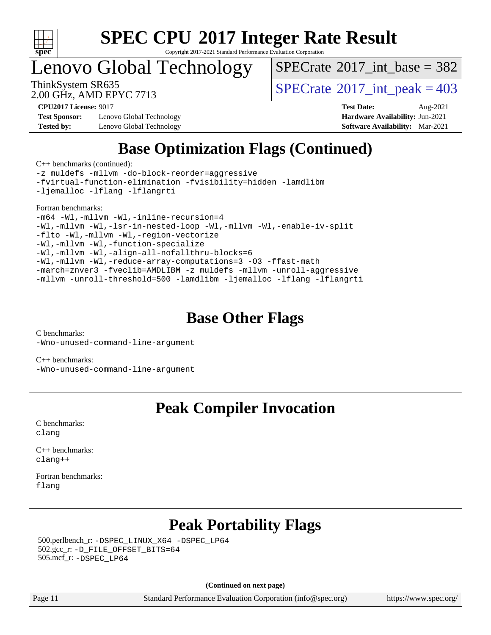

Copyright 2017-2021 Standard Performance Evaluation Corporation

Lenovo Global Technology

 $SPECTate$ <sup>®</sup>[2017\\_int\\_base =](http://www.spec.org/auto/cpu2017/Docs/result-fields.html#SPECrate2017intbase) 382

2.00 GHz, AMD EPYC 7713

ThinkSystem SR635<br>2.00 GHz, AMD EPVC 7713

**[Test Sponsor:](http://www.spec.org/auto/cpu2017/Docs/result-fields.html#TestSponsor)** Lenovo Global Technology **[Hardware Availability:](http://www.spec.org/auto/cpu2017/Docs/result-fields.html#HardwareAvailability)** Jun-2021 **[Tested by:](http://www.spec.org/auto/cpu2017/Docs/result-fields.html#Testedby)** Lenovo Global Technology **[Software Availability:](http://www.spec.org/auto/cpu2017/Docs/result-fields.html#SoftwareAvailability)** Mar-2021

**[CPU2017 License:](http://www.spec.org/auto/cpu2017/Docs/result-fields.html#CPU2017License)** 9017 **[Test Date:](http://www.spec.org/auto/cpu2017/Docs/result-fields.html#TestDate)** Aug-2021

## **[Base Optimization Flags \(Continued\)](http://www.spec.org/auto/cpu2017/Docs/result-fields.html#BaseOptimizationFlags)**

[C++ benchmarks](http://www.spec.org/auto/cpu2017/Docs/result-fields.html#CXXbenchmarks) (continued):

[-z muldefs](http://www.spec.org/cpu2017/results/res2021q3/cpu2017-20210816-28805.flags.html#user_CXXbase_aocc-muldefs) [-mllvm -do-block-reorder=aggressive](http://www.spec.org/cpu2017/results/res2021q3/cpu2017-20210816-28805.flags.html#user_CXXbase_F-do-block-reorder) [-fvirtual-function-elimination](http://www.spec.org/cpu2017/results/res2021q3/cpu2017-20210816-28805.flags.html#user_CXXbase_F-fvirtual-function-elimination) [-fvisibility=hidden](http://www.spec.org/cpu2017/results/res2021q3/cpu2017-20210816-28805.flags.html#user_CXXbase_F-fvisibility) [-lamdlibm](http://www.spec.org/cpu2017/results/res2021q3/cpu2017-20210816-28805.flags.html#user_CXXbase_F-lamdlibm) [-ljemalloc](http://www.spec.org/cpu2017/results/res2021q3/cpu2017-20210816-28805.flags.html#user_CXXbase_jemalloc-lib) [-lflang](http://www.spec.org/cpu2017/results/res2021q3/cpu2017-20210816-28805.flags.html#user_CXXbase_F-lflang) [-lflangrti](http://www.spec.org/cpu2017/results/res2021q3/cpu2017-20210816-28805.flags.html#user_CXXbase_F-lflangrti)

#### [Fortran benchmarks](http://www.spec.org/auto/cpu2017/Docs/result-fields.html#Fortranbenchmarks):

```
-m64 -Wl,-mllvm -Wl,-inline-recursion=4
-Wl,-mllvm -Wl,-lsr-in-nested-loop -Wl,-mllvm -Wl,-enable-iv-split
-flto -Wl,-mllvm -Wl,-region-vectorize
-Wl,-mllvm -Wl,-function-specialize
-Wl,-mllvm -Wl,-align-all-nofallthru-blocks=6
-Wl,-mllvm -Wl,-reduce-array-computations=3 -O3 -ffast-math
-march=znver3 -fveclib=AMDLIBM -z muldefs -mllvm -unroll-aggressive
-mllvm -unroll-threshold=500 -lamdlibm -ljemalloc -lflang -lflangrti
```
## **[Base Other Flags](http://www.spec.org/auto/cpu2017/Docs/result-fields.html#BaseOtherFlags)**

[C benchmarks](http://www.spec.org/auto/cpu2017/Docs/result-fields.html#Cbenchmarks): [-Wno-unused-command-line-argument](http://www.spec.org/cpu2017/results/res2021q3/cpu2017-20210816-28805.flags.html#user_CCbase_F-Wno-unused-command-line-argument)

[C++ benchmarks:](http://www.spec.org/auto/cpu2017/Docs/result-fields.html#CXXbenchmarks) [-Wno-unused-command-line-argument](http://www.spec.org/cpu2017/results/res2021q3/cpu2017-20210816-28805.flags.html#user_CXXbase_F-Wno-unused-command-line-argument)

### **[Peak Compiler Invocation](http://www.spec.org/auto/cpu2017/Docs/result-fields.html#PeakCompilerInvocation)**

[C benchmarks](http://www.spec.org/auto/cpu2017/Docs/result-fields.html#Cbenchmarks): [clang](http://www.spec.org/cpu2017/results/res2021q3/cpu2017-20210816-28805.flags.html#user_CCpeak_clang-c)

[C++ benchmarks:](http://www.spec.org/auto/cpu2017/Docs/result-fields.html#CXXbenchmarks) [clang++](http://www.spec.org/cpu2017/results/res2021q3/cpu2017-20210816-28805.flags.html#user_CXXpeak_clang-cpp)

[Fortran benchmarks](http://www.spec.org/auto/cpu2017/Docs/result-fields.html#Fortranbenchmarks): [flang](http://www.spec.org/cpu2017/results/res2021q3/cpu2017-20210816-28805.flags.html#user_FCpeak_flang)

## **[Peak Portability Flags](http://www.spec.org/auto/cpu2017/Docs/result-fields.html#PeakPortabilityFlags)**

 500.perlbench\_r: [-DSPEC\\_LINUX\\_X64](http://www.spec.org/cpu2017/results/res2021q3/cpu2017-20210816-28805.flags.html#b500.perlbench_r_peakPORTABILITY_DSPEC_LINUX_X64) [-DSPEC\\_LP64](http://www.spec.org/cpu2017/results/res2021q3/cpu2017-20210816-28805.flags.html#b500.perlbench_r_peakEXTRA_PORTABILITY_DSPEC_LP64) 502.gcc\_r: [-D\\_FILE\\_OFFSET\\_BITS=64](http://www.spec.org/cpu2017/results/res2021q3/cpu2017-20210816-28805.flags.html#user_peakEXTRA_PORTABILITY502_gcc_r_F-D_FILE_OFFSET_BITS_5ae949a99b284ddf4e95728d47cb0843d81b2eb0e18bdfe74bbf0f61d0b064f4bda2f10ea5eb90e1dcab0e84dbc592acfc5018bc955c18609f94ddb8d550002c) 505.mcf\_r: [-DSPEC\\_LP64](http://www.spec.org/cpu2017/results/res2021q3/cpu2017-20210816-28805.flags.html#suite_peakEXTRA_PORTABILITY505_mcf_r_DSPEC_LP64)

**(Continued on next page)**

Page 11 Standard Performance Evaluation Corporation [\(info@spec.org\)](mailto:info@spec.org) <https://www.spec.org/>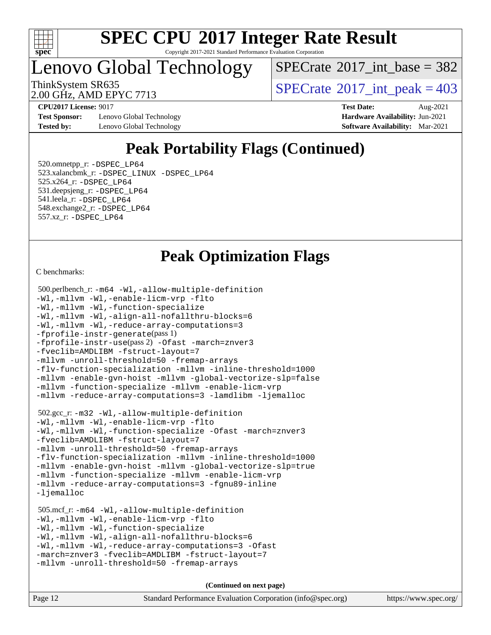

Copyright 2017-2021 Standard Performance Evaluation Corporation

## Lenovo Global Technology

 $SPECTate$ <sup>®</sup>[2017\\_int\\_base =](http://www.spec.org/auto/cpu2017/Docs/result-fields.html#SPECrate2017intbase) 382

2.00 GHz, AMD EPYC 7713

ThinkSystem SR635<br>2.00 GHz, AMD EPYC 7713

**[Test Sponsor:](http://www.spec.org/auto/cpu2017/Docs/result-fields.html#TestSponsor)** Lenovo Global Technology **[Hardware Availability:](http://www.spec.org/auto/cpu2017/Docs/result-fields.html#HardwareAvailability)** Jun-2021 **[Tested by:](http://www.spec.org/auto/cpu2017/Docs/result-fields.html#Testedby)** Lenovo Global Technology **[Software Availability:](http://www.spec.org/auto/cpu2017/Docs/result-fields.html#SoftwareAvailability)** Mar-2021

**[CPU2017 License:](http://www.spec.org/auto/cpu2017/Docs/result-fields.html#CPU2017License)** 9017 **[Test Date:](http://www.spec.org/auto/cpu2017/Docs/result-fields.html#TestDate)** Aug-2021

## **[Peak Portability Flags \(Continued\)](http://www.spec.org/auto/cpu2017/Docs/result-fields.html#PeakPortabilityFlags)**

 520.omnetpp\_r: [-DSPEC\\_LP64](http://www.spec.org/cpu2017/results/res2021q3/cpu2017-20210816-28805.flags.html#suite_peakEXTRA_PORTABILITY520_omnetpp_r_DSPEC_LP64) 523.xalancbmk\_r: [-DSPEC\\_LINUX](http://www.spec.org/cpu2017/results/res2021q3/cpu2017-20210816-28805.flags.html#b523.xalancbmk_r_peakPORTABILITY_DSPEC_LINUX) [-DSPEC\\_LP64](http://www.spec.org/cpu2017/results/res2021q3/cpu2017-20210816-28805.flags.html#suite_peakEXTRA_PORTABILITY523_xalancbmk_r_DSPEC_LP64) 525.x264\_r: [-DSPEC\\_LP64](http://www.spec.org/cpu2017/results/res2021q3/cpu2017-20210816-28805.flags.html#suite_peakEXTRA_PORTABILITY525_x264_r_DSPEC_LP64) 531.deepsjeng\_r: [-DSPEC\\_LP64](http://www.spec.org/cpu2017/results/res2021q3/cpu2017-20210816-28805.flags.html#suite_peakEXTRA_PORTABILITY531_deepsjeng_r_DSPEC_LP64) 541.leela\_r: [-DSPEC\\_LP64](http://www.spec.org/cpu2017/results/res2021q3/cpu2017-20210816-28805.flags.html#suite_peakEXTRA_PORTABILITY541_leela_r_DSPEC_LP64) 548.exchange2\_r: [-DSPEC\\_LP64](http://www.spec.org/cpu2017/results/res2021q3/cpu2017-20210816-28805.flags.html#suite_peakEXTRA_PORTABILITY548_exchange2_r_DSPEC_LP64) 557.xz\_r: [-DSPEC\\_LP64](http://www.spec.org/cpu2017/results/res2021q3/cpu2017-20210816-28805.flags.html#suite_peakEXTRA_PORTABILITY557_xz_r_DSPEC_LP64)

## **[Peak Optimization Flags](http://www.spec.org/auto/cpu2017/Docs/result-fields.html#PeakOptimizationFlags)**

[C benchmarks](http://www.spec.org/auto/cpu2017/Docs/result-fields.html#Cbenchmarks):

```
 500.perlbench_r: -m64 -Wl,-allow-multiple-definition
-Wl,-mllvm -Wl,-enable-licm-vrp -flto
-Wl,-mllvm -Wl,-function-specialize
-Wl,-mllvm -Wl,-align-all-nofallthru-blocks=6
-Wl,-mllvm -Wl,-reduce-array-computations=3
-fprofile-instr-generate(pass 1)
-fprofile-instr-use(pass 2) -Ofast -march=znver3
-fveclib=AMDLIBM -fstruct-layout=7
-mllvm -unroll-threshold=50 -fremap-arrays
-flv-function-specialization -mllvm -inline-threshold=1000
-mllvm -enable-gvn-hoist -mllvm -global-vectorize-slp=false
-mllvm -function-specialize -mllvm -enable-licm-vrp
-mllvm -reduce-array-computations=3 -lamdlibm -ljemalloc
 502.gcc_r: -m32 -Wl,-allow-multiple-definition
-Wl,-mllvm -Wl,-enable-licm-vrp -flto
-Wl,-mllvm -Wl,-function-specialize -Ofast -march=znver3
-fveclib=AMDLIBM -fstruct-layout=7
-mllvm -unroll-threshold=50 -fremap-arrays
-flv-function-specialization -mllvm -inline-threshold=1000
-mllvm -enable-gvn-hoist -mllvm -global-vectorize-slp=true
-mllvm -function-specialize -mllvm -enable-licm-vrp
-mllvm -reduce-array-computations=3 -fgnu89-inline
-ljemalloc
 505.mcf_r: -m64 -Wl,-allow-multiple-definition
-Wl,-mllvm -Wl,-enable-licm-vrp -flto
-Wl,-mllvm -Wl,-function-specialize
-Wl,-mllvm -Wl,-align-all-nofallthru-blocks=6
-Wl,-mllvm -Wl,-reduce-array-computations=3 -Ofast
-march=znver3 -fveclib=AMDLIBM -fstruct-layout=7
-mllvm -unroll-threshold=50 -fremap-arrays
```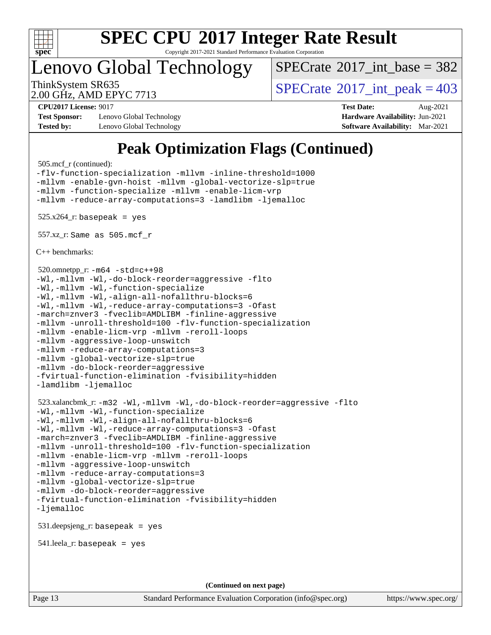

Copyright 2017-2021 Standard Performance Evaluation Corporation

## Lenovo Global Technology

 $SPECTate$ <sup>®</sup>[2017\\_int\\_base =](http://www.spec.org/auto/cpu2017/Docs/result-fields.html#SPECrate2017intbase) 382

2.00 GHz, AMD EPYC 7713

ThinkSystem SR635<br>2.00 GHz, AMD EPVC 7713

**[Test Sponsor:](http://www.spec.org/auto/cpu2017/Docs/result-fields.html#TestSponsor)** Lenovo Global Technology **[Hardware Availability:](http://www.spec.org/auto/cpu2017/Docs/result-fields.html#HardwareAvailability)** Jun-2021 **[Tested by:](http://www.spec.org/auto/cpu2017/Docs/result-fields.html#Testedby)** Lenovo Global Technology **[Software Availability:](http://www.spec.org/auto/cpu2017/Docs/result-fields.html#SoftwareAvailability)** Mar-2021

**[CPU2017 License:](http://www.spec.org/auto/cpu2017/Docs/result-fields.html#CPU2017License)** 9017 **[Test Date:](http://www.spec.org/auto/cpu2017/Docs/result-fields.html#TestDate)** Aug-2021

## **[Peak Optimization Flags \(Continued\)](http://www.spec.org/auto/cpu2017/Docs/result-fields.html#PeakOptimizationFlags)**

505.mcf\_r (continued):

```
-flv-function-specialization -mllvm -inline-threshold=1000
-mllvm -enable-gvn-hoist -mllvm -global-vectorize-slp=true
-mllvm -function-specialize -mllvm -enable-licm-vrp
-mllvm -reduce-array-computations=3 -lamdlibm -ljemalloc
525.x264-r: basepeak = yes
 557.xz_r: Same as 505.mcf_r
C++ benchmarks: 
 520.omnetpp_r: -m64 -std=c++98
-Wl,-mllvm -Wl,-do-block-reorder=aggressive -flto
-Wl,-mllvm -Wl,-function-specialize
-Wl,-mllvm -Wl,-align-all-nofallthru-blocks=6
-Wl,-mllvm -Wl,-reduce-array-computations=3 -Ofast
-march=znver3 -fveclib=AMDLIBM -finline-aggressive
-mllvm -unroll-threshold=100 -flv-function-specialization
-mllvm -enable-licm-vrp -mllvm -reroll-loops
-mllvm -aggressive-loop-unswitch
-mllvm -reduce-array-computations=3
-mllvm -global-vectorize-slp=true
-mllvm -do-block-reorder=aggressive
-fvirtual-function-elimination -fvisibility=hidden
-lamdlibm -ljemalloc
 523.xalancbmk_r: -m32 -Wl,-mllvm -Wl,-do-block-reorder=aggressive -flto
-Wl,-mllvm -Wl,-function-specialize
-Wl,-mllvm -Wl,-align-all-nofallthru-blocks=6
-Wl,-mllvm -Wl,-reduce-array-computations=3 -Ofast
-march=znver3 -fveclib=AMDLIBM -finline-aggressive
-mllvm -unroll-threshold=100 -flv-function-specialization
-mllvm -enable-licm-vrp -mllvm -reroll-loops
-mllvm -aggressive-loop-unswitch
-mllvm -reduce-array-computations=3
-mllvm -global-vectorize-slp=true
-mllvm -do-block-reorder=aggressive
-fvirtual-function-elimination -fvisibility=hidden
-ljemalloc
```
531.deepsjeng\_r: basepeak = yes

541.leela\_r: basepeak = yes